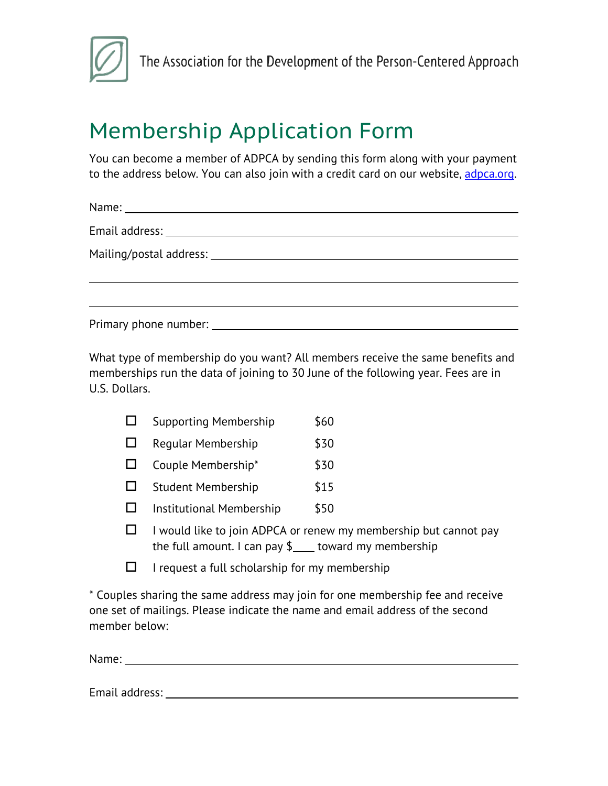

## Membership Application Form

You can become a member of ADPCA by sending this form along with your payment to the address below. You can also join with a credit card on our website, adpca.org.

Name:

Email address:

Mailing/postal address:

Primary phone number:

What type of membership do you want? All members receive the same benefits and memberships run the data of joining to 30 June of the following year. Fees are in U.S. Dollars.

| $\Box$ |  | <b>Supporting Membership</b> | \$60 |
|--------|--|------------------------------|------|
|--------|--|------------------------------|------|

- $\Box$  Regular Membership  $$30$
- $\Box$  Couple Membership\*  $$30$
- $\Box$  Student Membership  $$15$
- $\square$  Institutional Membership \$50
- $\Box$  I would like to join ADPCA or renew my membership but cannot pay the full amount. I can pay  $\frac{1}{2}$  toward my membership
- $\Box$  I request a full scholarship for my membership

\* Couples sharing the same address may join for one membership fee and receive one set of mailings. Please indicate the name and email address of the second member below:

Name:

Email address: